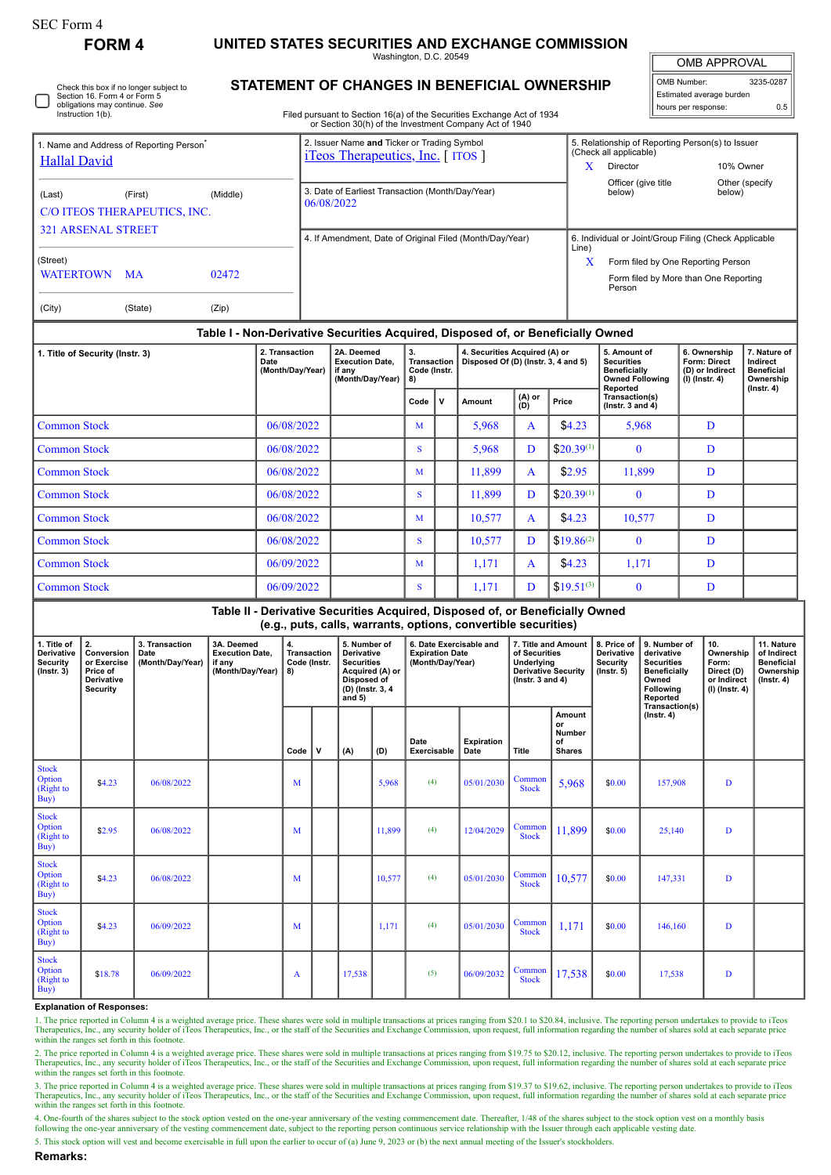| SEC Form 4 |  |
|------------|--|
|------------|--|

Check this box if no longer subject to

**FORM 4 UNITED STATES SECURITIES AND EXCHANGE COMMISSION**

Washington, D.C. 20549

OMB APPROVAL

|                          | OMB Number:         | 3235-0287 |  |  |  |  |  |  |  |
|--------------------------|---------------------|-----------|--|--|--|--|--|--|--|
| Estimated average burden |                     |           |  |  |  |  |  |  |  |
|                          | hours per response: | 0.5       |  |  |  |  |  |  |  |

**STATEMENT OF CHANGES IN BENEFICIAL OWNERSHIP**

|                                                                                            | Section 16. Form 4 or Form 5<br>obligations may continue. See<br>Instruction 1(b). |                                            |                                                                    |            |                                         |                                                                                                                                                                                                                          |                                                                                                                          |                                                |                                                                       |                                                                      | Filed pursuant to Section 16(a) of the Securities Exchange Act of 1934<br>or Section 30(h) of the Investment Company Act of 1940                |                                                                                                          |                                               |                                                                                                                     |                                                                                                                            | hours per response:                                                 | Estimated average burden                                   | 0.5                                                                             |
|--------------------------------------------------------------------------------------------|------------------------------------------------------------------------------------|--------------------------------------------|--------------------------------------------------------------------|------------|-----------------------------------------|--------------------------------------------------------------------------------------------------------------------------------------------------------------------------------------------------------------------------|--------------------------------------------------------------------------------------------------------------------------|------------------------------------------------|-----------------------------------------------------------------------|----------------------------------------------------------------------|-------------------------------------------------------------------------------------------------------------------------------------------------|----------------------------------------------------------------------------------------------------------|-----------------------------------------------|---------------------------------------------------------------------------------------------------------------------|----------------------------------------------------------------------------------------------------------------------------|---------------------------------------------------------------------|------------------------------------------------------------|---------------------------------------------------------------------------------|
| 1. Name and Address of Reporting Person <sup>®</sup><br><b>Hallal David</b>                |                                                                                    |                                            |                                                                    |            |                                         | 2. Issuer Name and Ticker or Trading Symbol<br><i>iTeos Therapeutics, Inc.</i> [ <i>ITOS</i> ]                                                                                                                           |                                                                                                                          |                                                |                                                                       |                                                                      |                                                                                                                                                 |                                                                                                          |                                               | 5. Relationship of Reporting Person(s) to Issuer<br>(Check all applicable)<br>Director<br>10% Owner<br>$\mathbf{X}$ |                                                                                                                            |                                                                     |                                                            |                                                                                 |
| (First)<br>(Middle)<br>(Last)<br>C/O ITEOS THERAPEUTICS, INC.<br><b>321 ARSENAL STREET</b> |                                                                                    |                                            |                                                                    |            |                                         | 06/08/2022                                                                                                                                                                                                               |                                                                                                                          |                                                |                                                                       |                                                                      | 3. Date of Earliest Transaction (Month/Day/Year)                                                                                                |                                                                                                          | below)                                        | Officer (give title                                                                                                 |                                                                                                                            | Other (specify<br>below)                                            |                                                            |                                                                                 |
| (Street)<br><b>WATERTOWN</b><br><b>MA</b><br>02472                                         |                                                                                    |                                            |                                                                    |            |                                         | 4. If Amendment, Date of Original Filed (Month/Day/Year)<br>6. Individual or Joint/Group Filing (Check Applicable<br>Line)<br>X<br>Form filed by One Reporting Person<br>Form filed by More than One Reporting<br>Person |                                                                                                                          |                                                |                                                                       |                                                                      |                                                                                                                                                 |                                                                                                          |                                               |                                                                                                                     |                                                                                                                            |                                                                     |                                                            |                                                                                 |
| (City)                                                                                     |                                                                                    | (State)                                    | (Zip)                                                              |            |                                         |                                                                                                                                                                                                                          |                                                                                                                          |                                                |                                                                       |                                                                      |                                                                                                                                                 |                                                                                                          |                                               |                                                                                                                     |                                                                                                                            |                                                                     |                                                            |                                                                                 |
|                                                                                            |                                                                                    |                                            |                                                                    |            |                                         |                                                                                                                                                                                                                          |                                                                                                                          |                                                |                                                                       |                                                                      | Table I - Non-Derivative Securities Acquired, Disposed of, or Beneficially Owned                                                                |                                                                                                          |                                               |                                                                                                                     |                                                                                                                            |                                                                     |                                                            |                                                                                 |
| 1. Title of Security (Instr. 3)                                                            |                                                                                    |                                            | 2. Transaction<br>Date<br>(Month/Day/Year)                         |            |                                         | 2A. Deemed<br><b>Execution Date,</b><br>if any<br>(Month/Day/Year)                                                                                                                                                       |                                                                                                                          | 3.<br><b>Transaction</b><br>Code (Instr.<br>8) |                                                                       | 4. Securities Acquired (A) or<br>Disposed Of (D) (Instr. 3, 4 and 5) |                                                                                                                                                 |                                                                                                          | <b>Securities</b>                             | 5. Amount of<br><b>Beneficially</b><br><b>Owned Following</b>                                                       |                                                                                                                            | 6. Ownership<br>Form: Direct<br>(D) or Indirect<br>$(I)$ (Instr. 4) | 7. Nature of<br>Indirect<br><b>Beneficial</b><br>Ownership |                                                                                 |
|                                                                                            |                                                                                    |                                            |                                                                    |            |                                         |                                                                                                                                                                                                                          |                                                                                                                          |                                                | Code                                                                  | v                                                                    | Amount                                                                                                                                          | $(A)$ or<br>(D)                                                                                          | Price                                         | Reported<br>Transaction(s)<br>(lnstr. $3$ and $4$ )                                                                 |                                                                                                                            |                                                                     |                                                            | $($ Instr. 4 $)$                                                                |
| <b>Common Stock</b>                                                                        |                                                                                    |                                            |                                                                    | 06/08/2022 |                                         |                                                                                                                                                                                                                          |                                                                                                                          |                                                | M                                                                     |                                                                      | 5,968                                                                                                                                           | A                                                                                                        | \$4.23                                        |                                                                                                                     | 5,968                                                                                                                      | D                                                                   |                                                            |                                                                                 |
| <b>Common Stock</b>                                                                        |                                                                                    |                                            |                                                                    | 06/08/2022 |                                         |                                                                                                                                                                                                                          |                                                                                                                          |                                                | S                                                                     |                                                                      | 5,968                                                                                                                                           | D                                                                                                        | $$20.39^{(1)}$                                | $\bf{0}$                                                                                                            |                                                                                                                            |                                                                     | D                                                          |                                                                                 |
| <b>Common Stock</b>                                                                        |                                                                                    |                                            | 06/08/2022                                                         |            |                                         |                                                                                                                                                                                                                          |                                                                                                                          | M                                              |                                                                       | 11,899                                                               | A                                                                                                                                               | \$2.95                                                                                                   | 11,899                                        |                                                                                                                     |                                                                                                                            | D                                                                   |                                                            |                                                                                 |
| <b>Common Stock</b>                                                                        |                                                                                    |                                            | 06/08/2022                                                         |            |                                         |                                                                                                                                                                                                                          |                                                                                                                          | S                                              |                                                                       | 11,899                                                               | D                                                                                                                                               | $$20.39^{(1)}$                                                                                           |                                               | $\mathbf{0}$                                                                                                        |                                                                                                                            | D                                                                   |                                                            |                                                                                 |
| <b>Common Stock</b>                                                                        |                                                                                    |                                            |                                                                    | 06/08/2022 |                                         |                                                                                                                                                                                                                          |                                                                                                                          |                                                | M                                                                     |                                                                      | 10,577                                                                                                                                          | A                                                                                                        | \$4.23                                        | 10,577                                                                                                              |                                                                                                                            |                                                                     | D                                                          |                                                                                 |
| <b>Common Stock</b>                                                                        |                                                                                    |                                            |                                                                    |            | 06/08/2022                              |                                                                                                                                                                                                                          |                                                                                                                          | S                                              |                                                                       | 10,577                                                               | D                                                                                                                                               | $$19.86^{(2)}$                                                                                           | $\mathbf{0}$                                  |                                                                                                                     |                                                                                                                            | D                                                                   |                                                            |                                                                                 |
| <b>Common Stock</b><br>06/09/2022                                                          |                                                                                    |                                            |                                                                    |            |                                         |                                                                                                                                                                                                                          | M                                                                                                                        |                                                | 1,171                                                                 | A                                                                    | \$4.23                                                                                                                                          | 1,171                                                                                                    |                                               | D                                                                                                                   |                                                                                                                            |                                                                     |                                                            |                                                                                 |
| <b>Common Stock</b><br>06/09/2022                                                          |                                                                                    |                                            |                                                                    |            |                                         |                                                                                                                                                                                                                          |                                                                                                                          |                                                | S                                                                     |                                                                      | 1,171                                                                                                                                           | $$19.51^{(3)}$<br>D                                                                                      |                                               | $\mathbf{0}$                                                                                                        |                                                                                                                            |                                                                     | D                                                          |                                                                                 |
|                                                                                            |                                                                                    |                                            |                                                                    |            |                                         |                                                                                                                                                                                                                          |                                                                                                                          |                                                |                                                                       |                                                                      | Table II - Derivative Securities Acquired, Disposed of, or Beneficially Owned<br>(e.g., puts, calls, warrants, options, convertible securities) |                                                                                                          |                                               |                                                                                                                     |                                                                                                                            |                                                                     |                                                            |                                                                                 |
| 1. Title of<br><b>Derivative</b><br><b>Security</b><br>$($ Instr. 3 $)$                    | 2.<br>Conversion<br>or Exercise<br>Price of<br>Derivative<br><b>Security</b>       | 3. Transaction<br>Date<br>(Month/Day/Year) | 3A. Deemed<br><b>Execution Date,</b><br>if any<br>(Month/Day/Year) |            | 4.<br>Transaction<br>Code (Instr.<br>8) |                                                                                                                                                                                                                          | 5. Number of<br><b>Derivative</b><br><b>Securities</b><br>Acquired (A) or<br>Disposed of<br>(D) (Instr. 3, 4<br>and $5)$ |                                                | 6. Date Exercisable and<br><b>Expiration Date</b><br>(Month/Day/Year) |                                                                      |                                                                                                                                                 | 7. Title and Amount<br>of Securities<br>Underlying<br><b>Derivative Security</b><br>( $lnstr. 3 and 4$ ) |                                               | 8. Price of<br>Derivative<br>Security<br>$($ Instr. 5 $)$                                                           | 9. Number of<br>derivative<br><b>Securities</b><br><b>Beneficially</b><br>Owned<br>Following<br>Reported<br>Transaction(s) | 10.<br>Form:                                                        | Ownership<br>Direct (D)<br>or Indirect<br>(I) (Instr. 4)   | 11. Nature<br>of Indirect<br><b>Beneficial</b><br>Ownership<br>$($ Instr. 4 $)$ |
|                                                                                            |                                                                                    |                                            |                                                                    |            | Code                                    | $\mathbf v$                                                                                                                                                                                                              | (A)                                                                                                                      | (D)                                            | Date<br>Exercisable                                                   |                                                                      | <b>Expiration</b><br>Date                                                                                                                       | <b>Title</b>                                                                                             | Amount<br>or<br>Number<br>of<br><b>Shares</b> |                                                                                                                     | $($ Instr. 4 $)$                                                                                                           |                                                                     |                                                            |                                                                                 |
| <b>Stock</b><br>Option<br>(Right to<br>Buy)                                                | \$4.23                                                                             | 06/08/2022                                 |                                                                    |            | M                                       |                                                                                                                                                                                                                          |                                                                                                                          | 5,968                                          | (4)                                                                   |                                                                      | 05/01/2030                                                                                                                                      | Common<br><b>Stock</b>                                                                                   | 5,968                                         | \$0.00                                                                                                              | 157,908                                                                                                                    |                                                                     | D                                                          |                                                                                 |
| <b>Stock</b><br>Option<br>(Right to<br>Buy)                                                | \$2.95                                                                             | 06/08/2022                                 |                                                                    |            | M                                       |                                                                                                                                                                                                                          |                                                                                                                          | 11,899                                         | (4)                                                                   |                                                                      | 12/04/2029                                                                                                                                      | Common<br><b>Stock</b>                                                                                   | 11,899                                        | \$0.00                                                                                                              | 25,140                                                                                                                     |                                                                     | D                                                          |                                                                                 |

## **Explanation of Responses:**

1. The price reported in Column 4 is a weighted average price. These shares were sold in multiple transactions at prices ranging from \$20.1 to \$20.84, inclusive. The reporting person undertakes to provide to iTeos<br>Therapeu within the ranges set forth in this footnote.

 $\begin{array}{|c|c|c|c|c|c|c|c|} \hline \text{Common} & 10,577 & $0.00 & 147,331 & D \\ \hline \end{array}$ 

 $\begin{array}{|c|c|c|c|c|c|c|c|} \hline \text{ommon} & 1,171 & \text{ } \text{$\$0.00} & 146,160 & D \\ \hline \end{array}$ 

Common 17,538 \$0.00 17,538 D

2. The price reported in Column 4 is a weighted average price. These shares were sold in multiple transactions at prices ranging from \$19.75 to \$20.12, inclusive. The reporting person undertakes to provide to iTeos Therapeutics, Inc., any security holder of iTeos Therapeutics, Inc., or the staff of the Securities and Exchange Commission, upon request, full information regarding the number of shares sold at each separate price within the ranges set forth in this footnote.

3. The price reported in Column 4 is a weighted average price. These shares were sold in multiple transactions at prices ranging from \$19.37 to \$19.62, inclusive. The reporting person undertakes to provide to iTeos<br>Therape

4. One-fourth of the shares subject to the stock option vested on the one-year anniversary of the vesting commencement date. Thereafter, 1/48 of the shares subject to the stock option vest on a monthly basis following the

5. This stock option will vest and become exercisable in full upon the earlier to occur of (a) June 9, 2023 or (b) the next annual meeting of the Issuer's stockholders.

\$4.23 06/08/2022 <sup>M</sup> 10,577 (4) 05/01/2030 Common

\$4.23 06/09/2022 M 1,171 (4) 05/01/2030 Common

\$18.78 06/09/2022 A 17,538 (5) 06/09/2032 Common

**Remarks:**

Stock **Option** (Right to Buy)

Stock **Option** (Right to Buy)

Stock **Option** (Right to Buy)